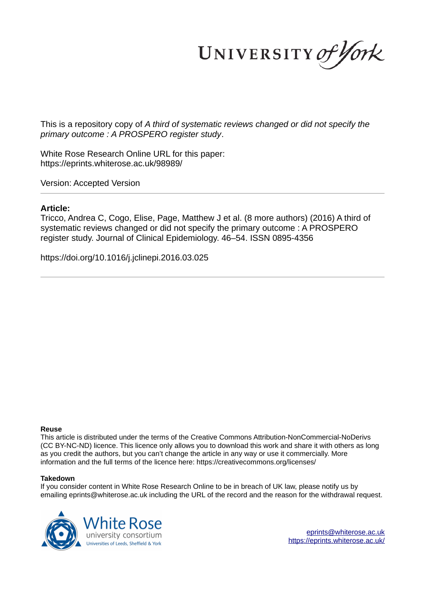UNIVERSITY of York

This is a repository copy of *A third of systematic reviews changed or did not specify the primary outcome : A PROSPERO register study*.

White Rose Research Online URL for this paper: https://eprints.whiterose.ac.uk/98989/

Version: Accepted Version

### **Article:**

Tricco, Andrea C, Cogo, Elise, Page, Matthew J et al. (8 more authors) (2016) A third of systematic reviews changed or did not specify the primary outcome : A PROSPERO register study. Journal of Clinical Epidemiology. 46–54. ISSN 0895-4356

https://doi.org/10.1016/j.jclinepi.2016.03.025

#### **Reuse**

This article is distributed under the terms of the Creative Commons Attribution-NonCommercial-NoDerivs (CC BY-NC-ND) licence. This licence only allows you to download this work and share it with others as long as you credit the authors, but you can't change the article in any way or use it commercially. More information and the full terms of the licence here: https://creativecommons.org/licenses/

#### **Takedown**

If you consider content in White Rose Research Online to be in breach of UK law, please notify us by emailing eprints@whiterose.ac.uk including the URL of the record and the reason for the withdrawal request.



eprints@whiterose.ac.uk https://eprints.whiterose.ac.uk/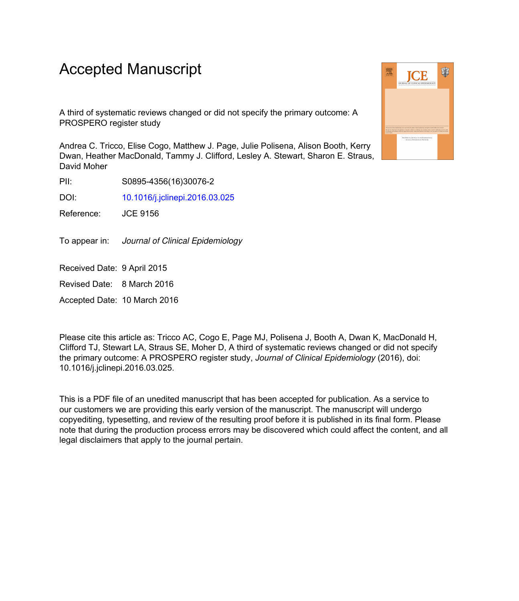# Accepted Manuscript

A third of systematic reviews changed or did not specify the primary outcome: A PROSPERO register study

Andrea C. Tricco, Elise Cogo, Matthew J. Page, Julie Polisena, Alison Booth, Kerry Dwan, Heather MacDonald, Tammy J. Clifford, Lesley A. Stewart, Sharon E. Straus, David Moher

PII: S0895-4356(16)30076-2

DOI: 10.1016/j.jclinepi.2016.03.025

Reference: JCE 9156

To appear in: Journal of Clinical Epidemiology

Received Date: 9 April 2015

Revised Date: 8 March 2016

Accepted Date: 10 March 2016

Please cite this article as: Tricco AC, Cogo E, Page MJ, Polisena J, Booth A, Dwan K, MacDonald H, Clifford TJ, Stewart LA, Straus SE, Moher D, A third of systematic reviews changed or did not specify the primary outcome: A PROSPERO register study, *Journal of Clinical Epidemiology* (2016), doi: 10.1016/j.jclinepi.2016.03.025.

This is a PDF file of an unedited manuscript that has been accepted for publication. As a service to our customers we are providing this early version of the manuscript. The manuscript will undergo copyediting, typesetting, and review of the resulting proof before it is published in its final form. Please note that during the production process errors may be discovered which could affect the content, and all legal disclaimers that apply to the journal pertain.

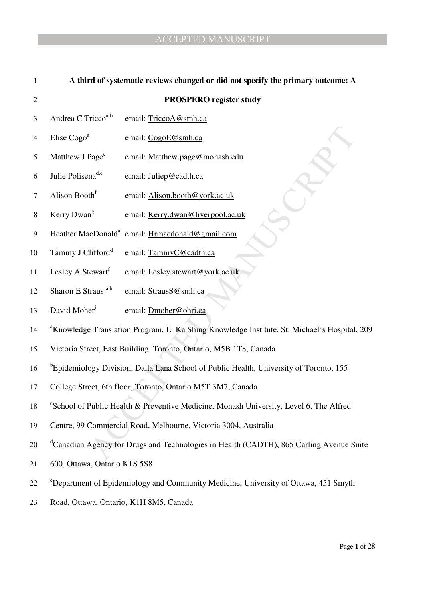| 1                | A third of systematic reviews changed or did not specify the primary outcome: A                          |                                                             |  |  |
|------------------|----------------------------------------------------------------------------------------------------------|-------------------------------------------------------------|--|--|
| $\boldsymbol{2}$ |                                                                                                          | <b>PROSPERO</b> register study                              |  |  |
| 3                | Andrea C Tricco <sup>a,b</sup>                                                                           | email: TriccoA@smh.ca                                       |  |  |
| $\overline{4}$   | Elise Cogo <sup>a</sup>                                                                                  | email: CogoE@smh.ca                                         |  |  |
| 5                | Matthew J Page <sup>c</sup>                                                                              | email: Matthew.page@monash.edu                              |  |  |
| 6                | Julie Polisena <sup>d,e</sup>                                                                            | email: Juliep@cadth.ca                                      |  |  |
| $\tau$           | Alison Booth <sup>f</sup>                                                                                | email: Alison.booth@york.ac.uk                              |  |  |
| $\,8\,$          | Kerry Dwan <sup>g</sup>                                                                                  | email: Kerry.dwan@liverpool.ac.uk                           |  |  |
| 9                |                                                                                                          | Heather MacDonald <sup>a</sup> email: Hrmacdonald@gmail.com |  |  |
| 10               | Tammy J Clifford <sup>d</sup>                                                                            | email: TammyC@cadth.ca                                      |  |  |
| 11               | Lesley A Stewart                                                                                         | email: Lesley.stewart@york.ac.uk                            |  |  |
| 12               | Sharon E Straus <sup>a,h</sup>                                                                           | email: StrausS@smh.ca                                       |  |  |
| 13               | David Moher <sup>1</sup>                                                                                 | email: Dmoher@ohri.ca                                       |  |  |
| 14               | <sup>a</sup> Knowledge Translation Program, Li Ka Shing Knowledge Institute, St. Michael's Hospital, 209 |                                                             |  |  |
| 15               | Victoria Street, East Building. Toronto, Ontario, M5B 1T8, Canada                                        |                                                             |  |  |
| 16               | <sup>b</sup> Epidemiology Division, Dalla Lana School of Public Health, University of Toronto, 155       |                                                             |  |  |
| 17               | College Street, 6th floor, Toronto, Ontario M5T 3M7, Canada                                              |                                                             |  |  |
| 18               | <sup>c</sup> School of Public Health & Preventive Medicine, Monash University, Level 6, The Alfred       |                                                             |  |  |
| 19               | Centre, 99 Commercial Road, Melbourne, Victoria 3004, Australia                                          |                                                             |  |  |
| 20               | <sup>d</sup> Canadian Agency for Drugs and Technologies in Health (CADTH), 865 Carling Avenue Suite      |                                                             |  |  |
| 21               | 600, Ottawa, Ontario K1S 5S8                                                                             |                                                             |  |  |
| 22               | <sup>e</sup> Department of Epidemiology and Community Medicine, University of Ottawa, 451 Smyth          |                                                             |  |  |
| 23               | Road, Ottawa, Ontario, K1H 8M5, Canada                                                                   |                                                             |  |  |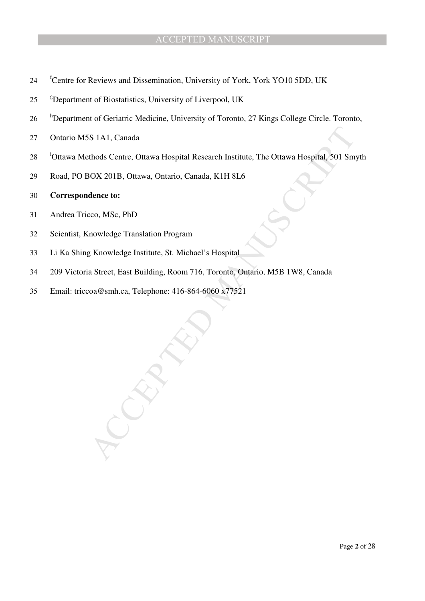- <sup>24</sup> <sup>f</sup>Centre for Reviews and Dissemination, University of York, York YO10 5DD, UK
- 25 <sup>g</sup>Department of Biostatistics, University of Liverpool, UK
- <sup>h</sup>Department of Geriatric Medicine, University of Toronto, 27 Kings College Circle. Toronto,
- 27 Ontario M5S 1A1, Canada
- S 1A1, Canada<br>
uthods Centre, Ottawa Hospital Research Institute, The Ottawa Hospital, 501 Smyth<br>
MOX 201B, Ottawa, Ontario, Canada, K1H 8L6<br>
dence to:<br>
cco, MSc, PhD<br>
mowledge Translation Program<br>
g Knowledge Institute, S <sup>28</sup> <sup>i</sup>Ottawa Methods Centre, Ottawa Hospital Research Institute, The Ottawa Hospital, 501 Smyth
- 29 Road, PO BOX 201B, Ottawa, Ontario, Canada, K1H 8L6

## 30 **Correspondence to:**

- 31 Andrea Tricco, MSc, PhD
- 32 Scientist, Knowledge Translation Program
- 33 Li Ka Shing Knowledge Institute, St. Michael's Hospital
- 34 209 Victoria Street, East Building, Room 716, Toronto, Ontario, M5B 1W8, Canada
- 35 Email: triccoa@smh.ca, Telephone: 416-864-6060 x77521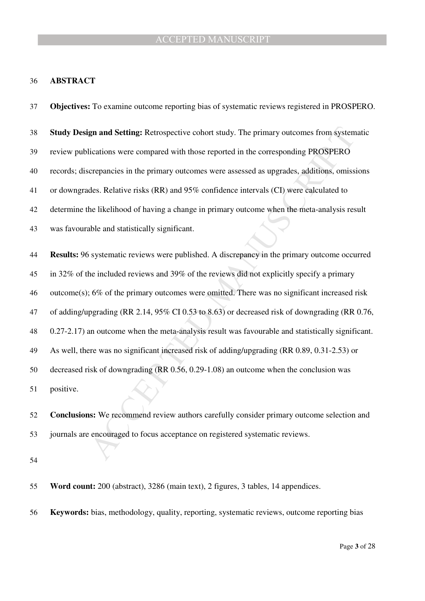#### **ABSTRACT**

gn and Setting: Retrospective cohort study. The primary outcomes from systematications were compared with those reported in the corresponding PROSPERO<br>crepancies in the primary outcomes were assessed as upgrades, addition **Objectives:** To examine outcome reporting bias of systematic reviews registered in PROSPERO. **Study Design and Setting:** Retrospective cohort study. The primary outcomes from systematic review publications were compared with those reported in the corresponding PROSPERO records; discrepancies in the primary outcomes were assessed as upgrades, additions, omissions or downgrades. Relative risks (RR) and 95% confidence intervals (CI) were calculated to determine the likelihood of having a change in primary outcome when the meta-analysis result was favourable and statistically significant. **Results:** 96 systematic reviews were published. A discrepancy in the primary outcome occurred in 32% of the included reviews and 39% of the reviews did not explicitly specify a primary outcome(s); 6% of the primary outcomes were omitted. There was no significant increased risk of adding/upgrading (RR 2.14, 95% CI 0.53 to 8.63) or decreased risk of downgrading (RR 0.76, 0.27-2.17) an outcome when the meta-analysis result was favourable and statistically significant. As well, there was no significant increased risk of adding/upgrading (RR 0.89, 0.31-2.53) or decreased risk of downgrading (RR 0.56, 0.29-1.08) an outcome when the conclusion was positive. **Conclusions:** We recommend review authors carefully consider primary outcome selection and

journals are encouraged to focus acceptance on registered systematic reviews.

**Word count:** 200 (abstract), 3286 (main text), 2 figures, 3 tables, 14 appendices.

**Keywords:** bias, methodology, quality, reporting, systematic reviews, outcome reporting bias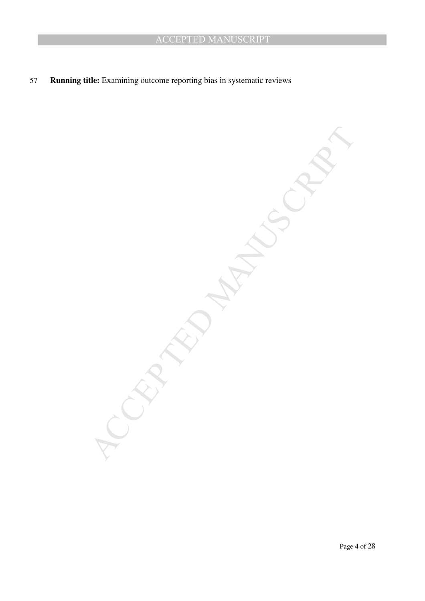57 **Running title:** Examining outcome reporting bias in systematic reviews

MCCRIPTION MANUSCRIPT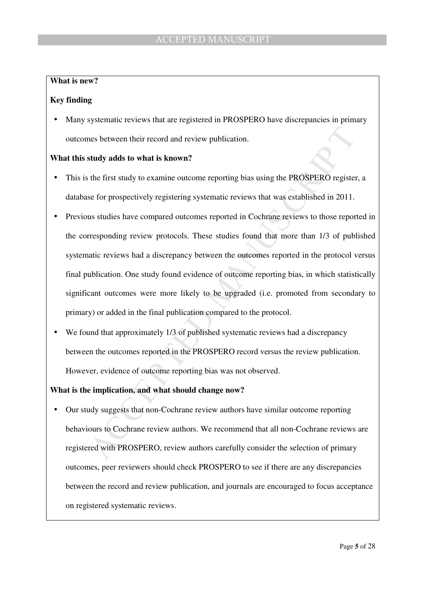# **What is new?**

# **Key finding**

Many systematic reviews that are registered in PROSPERO have discrepancies in primary outcomes between their record and review publication.

# **What this study adds to what is known?**

- This is the first study to examine outcome reporting bias using the PROSPERO register, a database for prospectively registering systematic reviews that was established in 2011.
- and states between their record and review publication.<br>
stady adds to what is known?<br>
the first study to examine outcome reporting bias using the PROSPERO register, a<br>
se for prospectively registering systematic reviews t • Previous studies have compared outcomes reported in Cochrane reviews to those reported in the corresponding review protocols. These studies found that more than 1/3 of published systematic reviews had a discrepancy between the outcomes reported in the protocol versus final publication. One study found evidence of outcome reporting bias, in which statistically significant outcomes were more likely to be upgraded (i.e. promoted from secondary to primary) or added in the final publication compared to the protocol.
- We found that approximately 1/3 of published systematic reviews had a discrepancy between the outcomes reported in the PROSPERO record versus the review publication. However, evidence of outcome reporting bias was not observed.

# **What is the implication, and what should change now?**

• Our study suggests that non-Cochrane review authors have similar outcome reporting behaviours to Cochrane review authors. We recommend that all non-Cochrane reviews are registered with PROSPERO, review authors carefully consider the selection of primary outcomes, peer reviewers should check PROSPERO to see if there are any discrepancies between the record and review publication, and journals are encouraged to focus acceptance on registered systematic reviews.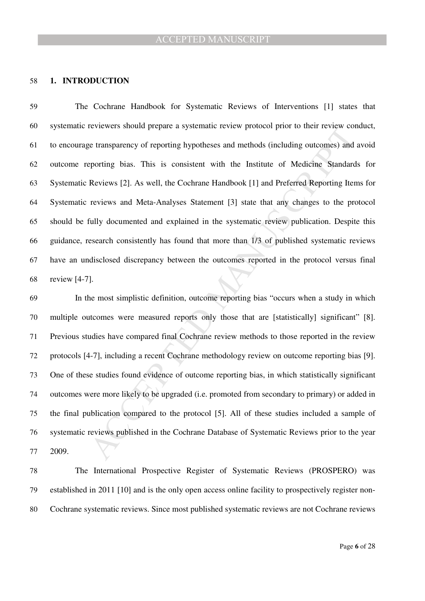## **1. INTRODUCTION**

The Cochrane Handbook for Systematic Reviews of Interventions [1] states that systematic reviewers should prepare a systematic review protocol prior to their review conduct, to encourage transparency of reporting hypotheses and methods (including outcomes) and avoid outcome reporting bias. This is consistent with the Institute of Medicine Standards for Systematic Reviews [2]. As well, the Cochrane Handbook [1] and Preferred Reporting Items for Systematic reviews and Meta-Analyses Statement [3] state that any changes to the protocol should be fully documented and explained in the systematic review publication. Despite this guidance, research consistently has found that more than 1/3 of published systematic reviews have an undisclosed discrepancy between the outcomes reported in the protocol versus final review [4-7].

reviewers snoun prepare a systematic review protocon prior to their review conduct protocon properties transparency of reporting hypotheses and methods (including outcomes) and aveporting bias. This is consistent with the In the most simplistic definition, outcome reporting bias "occurs when a study in which multiple outcomes were measured reports only those that are [statistically] significant" [8]. Previous studies have compared final Cochrane review methods to those reported in the review protocols [4-7], including a recent Cochrane methodology review on outcome reporting bias [9]. One of these studies found evidence of outcome reporting bias, in which statistically significant outcomes were more likely to be upgraded (i.e. promoted from secondary to primary) or added in the final publication compared to the protocol [5]. All of these studies included a sample of systematic reviews published in the Cochrane Database of Systematic Reviews prior to the year 2009.

The International Prospective Register of Systematic Reviews (PROSPERO) was established in 2011 [10] and is the only open access online facility to prospectively register non-Cochrane systematic reviews. Since most published systematic reviews are not Cochrane reviews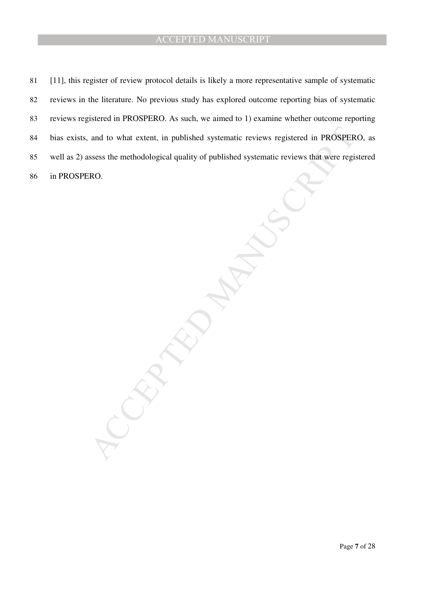and to what extent, in published systematic reviews registered in PROSPERO,<br>ssess the methodological quality of published systematic reviews that were registe<br>RO. [11], this register of review protocol details is likely a more representative sample of systematic reviews in the literature. No previous study has explored outcome reporting bias of systematic reviews registered in PROSPERO. As such, we aimed to 1) examine whether outcome reporting bias exists, and to what extent, in published systematic reviews registered in PROSPERO, as well as 2) assess the methodological quality of published systematic reviews that were registered in PROSPERO.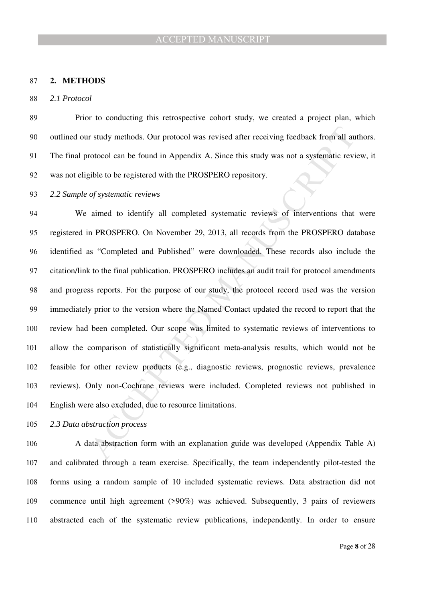#### **2. METHODS**

*2.1 Protocol* 

Prior to conducting this retrospective cohort study, we created a project plan, which outlined our study methods. Our protocol was revised after receiving feedback from all authors. The final protocol can be found in Appendix A. Since this study was not a systematic review, it was not eligible to be registered with the PROSPERO repository.

*2.2 Sample of systematic reviews* 

r study methods. Our protocol was revised after receiving feedback from all authrotood can be found in Appendix A. Since this study was not a systematic review<br>tible to be registered with the PROSPERO repository.<br> *of syst* We aimed to identify all completed systematic reviews of interventions that were registered in PROSPERO. On November 29, 2013, all records from the PROSPERO database identified as "Completed and Published" were downloaded. These records also include the citation/link to the final publication. PROSPERO includes an audit trail for protocol amendments and progress reports. For the purpose of our study, the protocol record used was the version immediately prior to the version where the Named Contact updated the record to report that the review had been completed. Our scope was limited to systematic reviews of interventions to allow the comparison of statistically significant meta-analysis results, which would not be feasible for other review products (e.g., diagnostic reviews, prognostic reviews, prevalence reviews). Only non-Cochrane reviews were included. Completed reviews not published in English were also excluded, due to resource limitations.

*2.3 Data abstraction process* 

A data abstraction form with an explanation guide was developed (Appendix Table A) and calibrated through a team exercise. Specifically, the team independently pilot-tested the forms using a random sample of 10 included systematic reviews. Data abstraction did not commence until high agreement (>90%) was achieved. Subsequently, 3 pairs of reviewers abstracted each of the systematic review publications, independently. In order to ensure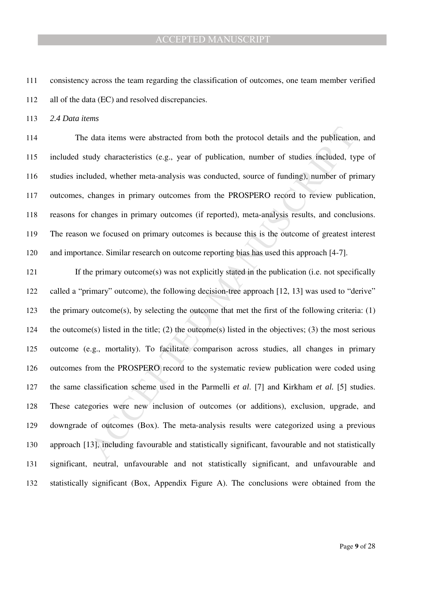consistency across the team regarding the classification of outcomes, one team member verified all of the data (EC) and resolved discrepancies.

*2.4 Data items* 

The data items were abstracted from both the protocol details and the publication, and included study characteristics (e.g., year of publication, number of studies included, type of studies included, whether meta-analysis was conducted, source of funding), number of primary outcomes, changes in primary outcomes from the PROSPERO record to review publication, reasons for changes in primary outcomes (if reported), meta-analysis results, and conclusions. The reason we focused on primary outcomes is because this is the outcome of greatest interest and importance. Similar research on outcome reporting bias has used this approach [4-7].

data items were abstracted from both the protocol details and the publication, andy characteristics (e.g., year of publication, number of studies included, type uded, whether meta-analysis was conducted, source of funding If the primary outcome(s) was not explicitly stated in the publication (i.e. not specifically called a "primary" outcome), the following decision-tree approach [12, 13] was used to "derive" the primary outcome(s), by selecting the outcome that met the first of the following criteria: (1) the outcome(s) listed in the title; (2) the outcome(s) listed in the objectives; (3) the most serious outcome (e.g., mortality). To facilitate comparison across studies, all changes in primary outcomes from the PROSPERO record to the systematic review publication were coded using the same classification scheme used in the Parmelli *et al*. [7] and Kirkham *et al.* [5] studies. These categories were new inclusion of outcomes (or additions), exclusion, upgrade, and downgrade of outcomes (Box). The meta-analysis results were categorized using a previous approach [13], including favourable and statistically significant, favourable and not statistically significant, neutral, unfavourable and not statistically significant, and unfavourable and statistically significant (Box, Appendix Figure A). The conclusions were obtained from the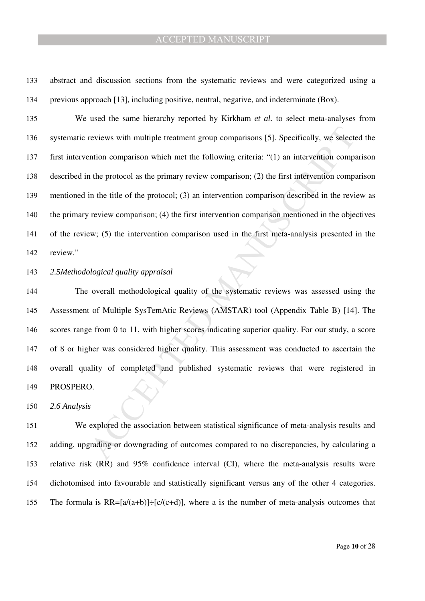abstract and discussion sections from the systematic reviews and were categorized using a previous approach [13], including positive, neutral, negative, and indeterminate (Box).

reviews with multiple treatment group comparisons [5]. Specifically, we selected<br>ention comparison which met the following criteria: "(1) an intervention comparia-<br>the protocol as the primary review comparison; (2) the fir We used the same hierarchy reported by Kirkham *et al.* to select meta-analyses from systematic reviews with multiple treatment group comparisons [5]. Specifically, we selected the first intervention comparison which met the following criteria: "(1) an intervention comparison described in the protocol as the primary review comparison; (2) the first intervention comparison mentioned in the title of the protocol; (3) an intervention comparison described in the review as the primary review comparison; (4) the first intervention comparison mentioned in the objectives of the review; (5) the intervention comparison used in the first meta-analysis presented in the review."

## *2.5Methodological quality appraisal*

The overall methodological quality of the systematic reviews was assessed using the Assessment of Multiple SysTemAtic Reviews (AMSTAR) tool (Appendix Table B) [14]. The scores range from 0 to 11, with higher scores indicating superior quality. For our study, a score of 8 or higher was considered higher quality. This assessment was conducted to ascertain the overall quality of completed and published systematic reviews that were registered in PROSPERO.

*2.6 Analysis* 

We explored the association between statistical significance of meta-analysis results and adding, upgrading or downgrading of outcomes compared to no discrepancies, by calculating a relative risk (RR) and 95% confidence interval (CI), where the meta-analysis results were dichotomised into favourable and statistically significant versus any of the other 4 categories. 155 The formula is  $RR=[a/(a+b)]+[c/(c+d)]$ , where a is the number of meta-analysis outcomes that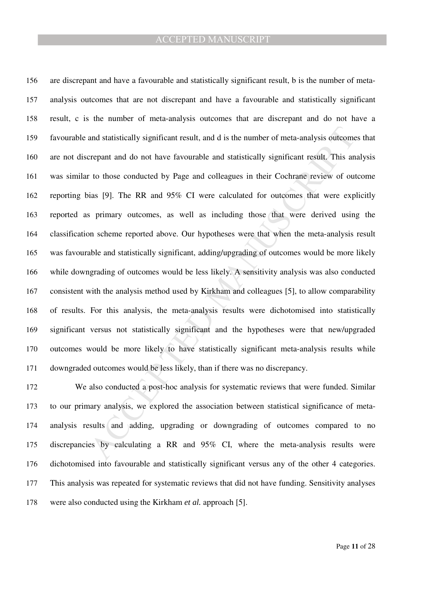and statistically significant result, and d is the number of meta-analysis outcomes terepant and do not have favourable and statistically significant result. This analy to those conducted by Page and colleagues in their Co are discrepant and have a favourable and statistically significant result, b is the number of meta-analysis outcomes that are not discrepant and have a favourable and statistically significant result, c is the number of meta-analysis outcomes that are discrepant and do not have a favourable and statistically significant result, and d is the number of meta-analysis outcomes that are not discrepant and do not have favourable and statistically significant result. This analysis was similar to those conducted by Page and colleagues in their Cochrane review of outcome reporting bias [9]. The RR and 95% CI were calculated for outcomes that were explicitly reported as primary outcomes, as well as including those that were derived using the classification scheme reported above. Our hypotheses were that when the meta-analysis result was favourable and statistically significant, adding/upgrading of outcomes would be more likely while downgrading of outcomes would be less likely. A sensitivity analysis was also conducted consistent with the analysis method used by Kirkham and colleagues [5], to allow comparability of results. For this analysis, the meta-analysis results were dichotomised into statistically significant versus not statistically significant and the hypotheses were that new/upgraded outcomes would be more likely to have statistically significant meta-analysis results while downgraded outcomes would be less likely, than if there was no discrepancy.

We also conducted a post-hoc analysis for systematic reviews that were funded. Similar to our primary analysis, we explored the association between statistical significance of meta-analysis results and adding, upgrading or downgrading of outcomes compared to no discrepancies by calculating a RR and 95% CI, where the meta-analysis results were dichotomised into favourable and statistically significant versus any of the other 4 categories. This analysis was repeated for systematic reviews that did not have funding. Sensitivity analyses were also conducted using the Kirkham *et al.* approach [5].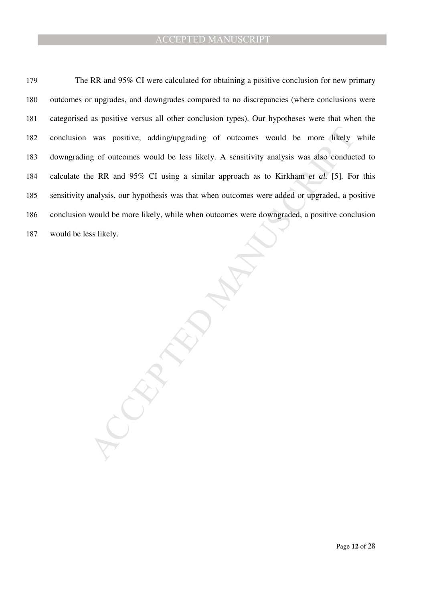was positive, adding/upgrading of outcomes would be more fikely with the symptom of outcomes would be less likely. A sensitivity analysis was also conducted<br>the RR and 95% CI using a similar approach as to Kirkham *et al.* 179 The RR and 95% CI were calculated for obtaining a positive conclusion for new primary outcomes or upgrades, and downgrades compared to no discrepancies (where conclusions were categorised as positive versus all other conclusion types). Our hypotheses were that when the conclusion was positive, adding/upgrading of outcomes would be more likely while downgrading of outcomes would be less likely. A sensitivity analysis was also conducted to calculate the RR and 95% CI using a similar approach as to Kirkham *et al.* [5]*.* For this sensitivity analysis, our hypothesis was that when outcomes were added or upgraded, a positive conclusion would be more likely, while when outcomes were downgraded, a positive conclusion would be less likely.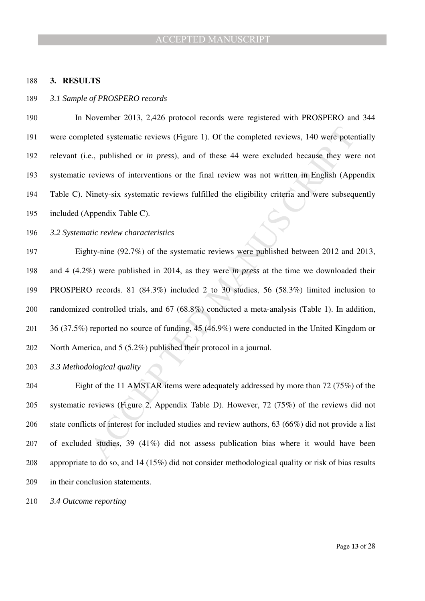#### **3. RESULTS**

#### *3.1 Sample of PROSPERO records*

In November 2013, 2,426 protocol records were registered with PROSPERO and 344 were completed systematic reviews (Figure 1). Of the completed reviews, 140 were potentially relevant (i.e., published or *in press*), and of these 44 were excluded because they were not systematic reviews of interventions or the final review was not written in English (Appendix Table C). Ninety-six systematic reviews fulfilled the eligibility criteria and were subsequently included (Appendix Table C).

*3.2 Systematic review characteristics* 

bled systematic reviews (Figure 1). Of the completed reviews, 140 were potential<br>e., published or *in press*), and of these 44 were excluded because they were<br>reviews of interventions or the final review was not written i Eighty-nine (92.7%) of the systematic reviews were published between 2012 and 2013, and 4 (4.2%) were published in 2014, as they were *in press* at the time we downloaded their PROSPERO records. 81 (84.3%) included 2 to 30 studies, 56 (58.3%) limited inclusion to randomized controlled trials, and 67 (68.8%) conducted a meta-analysis (Table 1). In addition, 36 (37.5%) reported no source of funding, 45 (46.9%) were conducted in the United Kingdom or North America, and 5 (5.2%) published their protocol in a journal.

*3.3 Methodological quality* 

Eight of the 11 AMSTAR items were adequately addressed by more than 72 (75%) of the systematic reviews (Figure 2, Appendix Table D). However, 72 (75%) of the reviews did not state conflicts of interest for included studies and review authors, 63 (66%) did not provide a list of excluded studies, 39 (41%) did not assess publication bias where it would have been appropriate to do so, and 14 (15%) did not consider methodological quality or risk of bias results in their conclusion statements.

*3.4 Outcome reporting*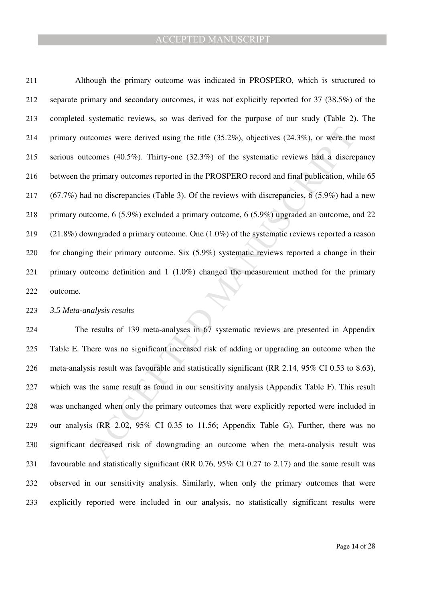tcomes were derived using the title (35.2%), objectives (24.3%), or were the m<br>comes (40.5%). Thirty-one (32.3%) of the systematic reviews had a discrepan<br>eprimary outcomes reported in the PROSPERO record and final public Although the primary outcome was indicated in PROSPERO, which is structured to separate primary and secondary outcomes, it was not explicitly reported for 37 (38.5%) of the completed systematic reviews, so was derived for the purpose of our study (Table 2). The primary outcomes were derived using the title (35.2%), objectives (24.3%), or were the most serious outcomes (40.5%). Thirty-one (32.3%) of the systematic reviews had a discrepancy between the primary outcomes reported in the PROSPERO record and final publication, while 65 (67.7%) had no discrepancies (Table 3). Of the reviews with discrepancies, 6 (5.9%) had a new primary outcome, 6 (5.9%) excluded a primary outcome, 6 (5.9%) upgraded an outcome, and 22 (21.8%) downgraded a primary outcome. One (1.0%) of the systematic reviews reported a reason for changing their primary outcome. Six (5.9%) systematic reviews reported a change in their primary outcome definition and 1 (1.0%) changed the measurement method for the primary outcome.

#### *3.5 Meta-analysis results*

The results of 139 meta-analyses in 67 systematic reviews are presented in Appendix Table E. There was no significant increased risk of adding or upgrading an outcome when the meta-analysis result was favourable and statistically significant (RR 2.14, 95% CI 0.53 to 8.63), which was the same result as found in our sensitivity analysis (Appendix Table F). This result was unchanged when only the primary outcomes that were explicitly reported were included in our analysis (RR 2.02, 95% CI 0.35 to 11.56; Appendix Table G). Further, there was no significant decreased risk of downgrading an outcome when the meta-analysis result was favourable and statistically significant (RR 0.76, 95% CI 0.27 to 2.17) and the same result was observed in our sensitivity analysis. Similarly, when only the primary outcomes that were explicitly reported were included in our analysis, no statistically significant results were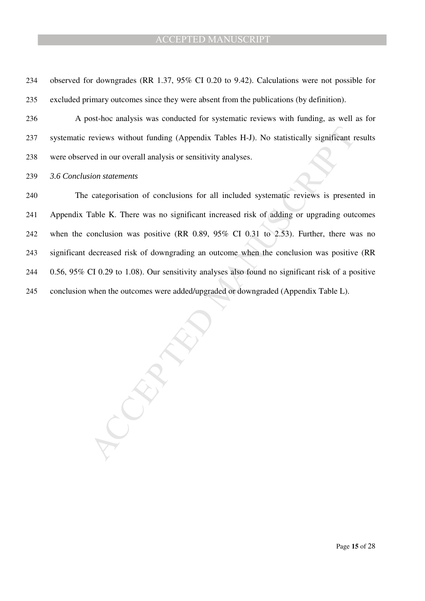reviews without funding (Appendix Tables H-J). No statistically significant rest<br>ved in our overall analysis or sensitivity analyses.<br>Sion statements<br>categorisation of conclusions for all included systematic reviews is pre observed for downgrades (RR 1.37, 95% CI 0.20 to 9.42). Calculations were not possible for excluded primary outcomes since they were absent from the publications (by definition). A post-hoc analysis was conducted for systematic reviews with funding, as well as for systematic reviews without funding (Appendix Tables H-J). No statistically significant results were observed in our overall analysis or sensitivity analyses. *3.6 Conclusion statements*  The categorisation of conclusions for all included systematic reviews is presented in Appendix Table K. There was no significant increased risk of adding or upgrading outcomes when the conclusion was positive (RR 0.89, 95% CI 0.31 to 2.53). Further, there was no significant decreased risk of downgrading an outcome when the conclusion was positive (RR 0.56, 95% CI 0.29 to 1.08). Our sensitivity analyses also found no significant risk of a positive conclusion when the outcomes were added/upgraded or downgraded (Appendix Table L).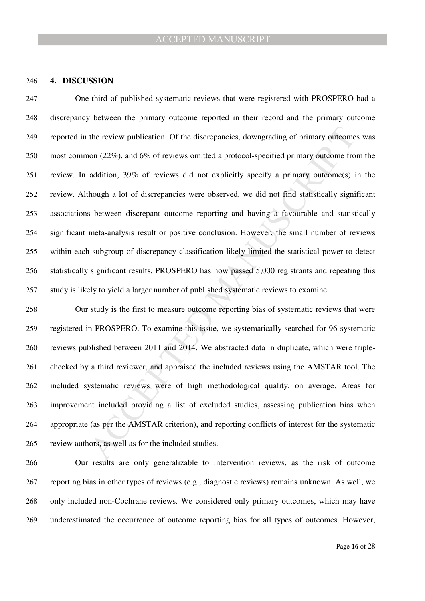#### **4. DISCUSSION**

the review publication. Of the discrepancies, downgrading of primary outcomes toon (22%), and 6% of reviews omitted a protocol-specified primary outcome from addition, 39% of reviews did not explicitly specify a primary ou One-third of published systematic reviews that were registered with PROSPERO had a discrepancy between the primary outcome reported in their record and the primary outcome reported in the review publication. Of the discrepancies, downgrading of primary outcomes was most common (22%), and 6% of reviews omitted a protocol-specified primary outcome from the review. In addition, 39% of reviews did not explicitly specify a primary outcome(s) in the review. Although a lot of discrepancies were observed, we did not find statistically significant associations between discrepant outcome reporting and having a favourable and statistically significant meta-analysis result or positive conclusion. However, the small number of reviews within each subgroup of discrepancy classification likely limited the statistical power to detect statistically significant results. PROSPERO has now passed 5,000 registrants and repeating this study is likely to yield a larger number of published systematic reviews to examine.

Our study is the first to measure outcome reporting bias of systematic reviews that were registered in PROSPERO. To examine this issue, we systematically searched for 96 systematic reviews published between 2011 and 2014. We abstracted data in duplicate, which were triple-checked by a third reviewer, and appraised the included reviews using the AMSTAR tool. The included systematic reviews were of high methodological quality, on average. Areas for improvement included providing a list of excluded studies, assessing publication bias when appropriate (as per the AMSTAR criterion), and reporting conflicts of interest for the systematic review authors, as well as for the included studies.

Our results are only generalizable to intervention reviews, as the risk of outcome reporting bias in other types of reviews (e.g., diagnostic reviews) remains unknown. As well, we only included non-Cochrane reviews. We considered only primary outcomes, which may have underestimated the occurrence of outcome reporting bias for all types of outcomes. However,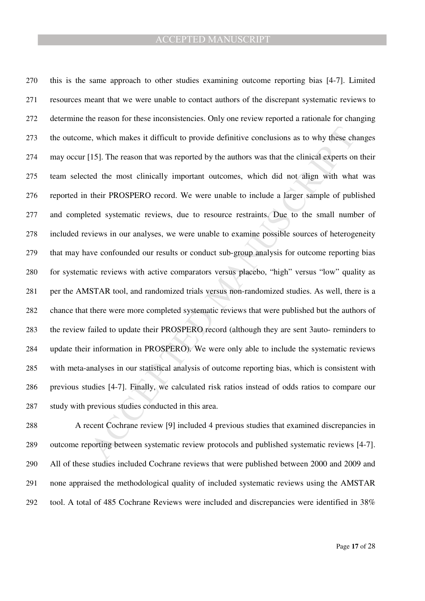e, which makes it difficult to provide definitive conclusions as to why these chan<br>[15]. The reason that was reported by the authors was that the clinical experts on the<br>d the most clinically important outcomes, which did this is the same approach to other studies examining outcome reporting bias [4-7]. Limited resources meant that we were unable to contact authors of the discrepant systematic reviews to determine the reason for these inconsistencies. Only one review reported a rationale for changing the outcome, which makes it difficult to provide definitive conclusions as to why these changes may occur [15]. The reason that was reported by the authors was that the clinical experts on their team selected the most clinically important outcomes, which did not align with what was reported in their PROSPERO record. We were unable to include a larger sample of published and completed systematic reviews, due to resource restraints. Due to the small number of included reviews in our analyses, we were unable to examine possible sources of heterogeneity that may have confounded our results or conduct sub-group analysis for outcome reporting bias for systematic reviews with active comparators versus placebo, "high" versus "low" quality as per the AMSTAR tool, and randomized trials versus non-randomized studies. As well, there is a chance that there were more completed systematic reviews that were published but the authors of the review failed to update their PROSPERO record (although they are sent 3auto- reminders to update their information in PROSPERO). We were only able to include the systematic reviews with meta-analyses in our statistical analysis of outcome reporting bias, which is consistent with previous studies [4-7]. Finally, we calculated risk ratios instead of odds ratios to compare our study with previous studies conducted in this area.

A recent Cochrane review [9] included 4 previous studies that examined discrepancies in outcome reporting between systematic review protocols and published systematic reviews [4-7]. All of these studies included Cochrane reviews that were published between 2000 and 2009 and none appraised the methodological quality of included systematic reviews using the AMSTAR tool. A total of 485 Cochrane Reviews were included and discrepancies were identified in 38%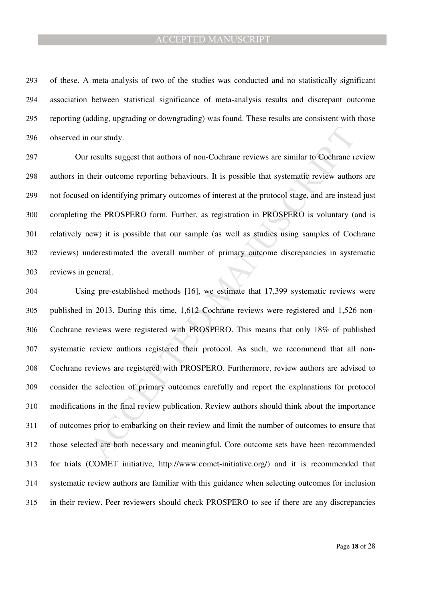of these. A meta-analysis of two of the studies was conducted and no statistically significant association between statistical significance of meta-analysis results and discrepant outcome reporting (adding, upgrading or downgrading) was found. These results are consistent with those observed in our study.

Our results suggest that authors of non-Cochrane reviews are similar to Cochrane review authors in their outcome reporting behaviours. It is possible that systematic review authors are not focused on identifying primary outcomes of interest at the protocol stage, and are instead just completing the PROSPERO form. Further, as registration in PROSPERO is voluntary (and is relatively new) it is possible that our sample (as well as studies using samples of Cochrane reviews) underestimated the overall number of primary outcome discrepancies in systematic reviews in general.

our study.<br>
nexults suggest that authors of non-Cochrane reviews are similar to Cochrane review<br>
results suggest that authors of non-Cochrane reviews are similar to Cochrane review<br>
their outcome reporting behavious. It is Using pre-established methods [16], we estimate that 17,399 systematic reviews were published in 2013. During this time, 1,612 Cochrane reviews were registered and 1,526 non-Cochrane reviews were registered with PROSPERO. This means that only 18% of published systematic review authors registered their protocol. As such, we recommend that all non-Cochrane reviews are registered with PROSPERO. Furthermore, review authors are advised to consider the selection of primary outcomes carefully and report the explanations for protocol modifications in the final review publication. Review authors should think about the importance of outcomes prior to embarking on their review and limit the number of outcomes to ensure that those selected are both necessary and meaningful. Core outcome sets have been recommended for trials (COMET initiative, http://www.comet-initiative.org/) and it is recommended that systematic review authors are familiar with this guidance when selecting outcomes for inclusion in their review. Peer reviewers should check PROSPERO to see if there are any discrepancies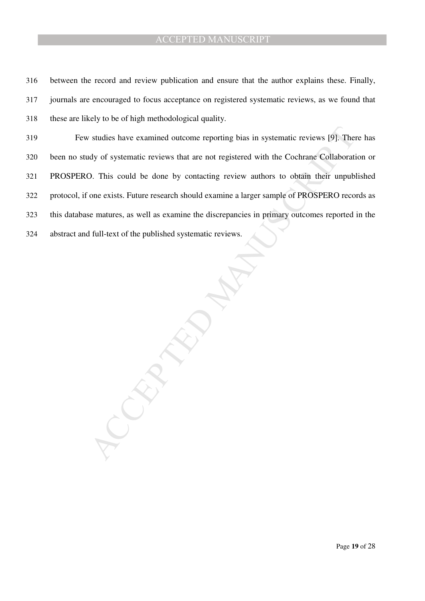between the record and review publication and ensure that the author explains these. Finally, journals are encouraged to focus acceptance on registered systematic reviews, as we found that these are likely to be of high methodological quality.

Statius have examined outcome reporting bias in systematic reviews [9]. There<br>idy of systematic reviews that are not registered with the Cochrane Collaboration<br>O. This could be done by contacting review authors to obtain t Few studies have examined outcome reporting bias in systematic reviews [9]. There has been no study of systematic reviews that are not registered with the Cochrane Collaboration or PROSPERO. This could be done by contacting review authors to obtain their unpublished protocol, if one exists. Future research should examine a larger sample of PROSPERO records as this database matures, as well as examine the discrepancies in primary outcomes reported in the abstract and full-text of the published systematic reviews.

Page **19** of 28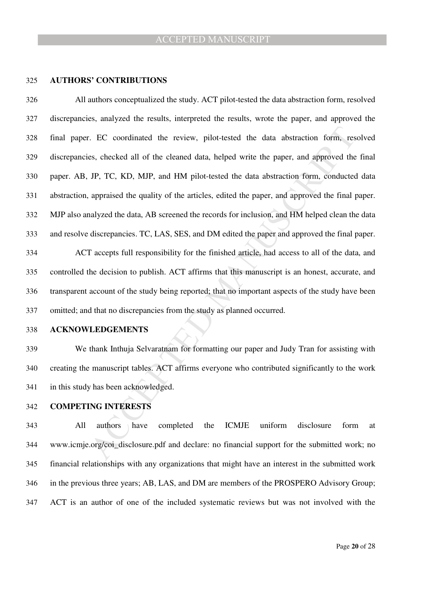#### **AUTHORS' CONTRIBUTIONS**

EXECTL CONTEXT THAT ALT SURFALL THAT AND THAT AND THAT AND THAT AND AND THAT AND ANY THAT AND ANY CONTEXTS and DRIVID AND THAT AND AND THAT AND ANY AND THAT AND APPROVED the final paperised the quality of the articles, ed All authors conceptualized the study. ACT pilot-tested the data abstraction form, resolved discrepancies, analyzed the results, interpreted the results, wrote the paper, and approved the final paper. EC coordinated the review, pilot-tested the data abstraction form, resolved discrepancies, checked all of the cleaned data, helped write the paper, and approved the final paper. AB, JP, TC, KD, MJP, and HM pilot-tested the data abstraction form, conducted data abstraction, appraised the quality of the articles, edited the paper, and approved the final paper. MJP also analyzed the data, AB screened the records for inclusion, and HM helped clean the data and resolve discrepancies. TC, LAS, SES, and DM edited the paper and approved the final paper. ACT accepts full responsibility for the finished article, had access to all of the data, and controlled the decision to publish. ACT affirms that this manuscript is an honest, accurate, and transparent account of the study being reported; that no important aspects of the study have been omitted; and that no discrepancies from the study as planned occurred.

## **ACKNOWLEDGEMENTS**

We thank Inthuja Selvaratnam for formatting our paper and Judy Tran for assisting with creating the manuscript tables. ACT affirms everyone who contributed significantly to the work in this study has been acknowledged.

# **COMPETING INTERESTS**

All authors have completed the ICMJE uniform disclosure form at www.icmje.org/coi\_disclosure.pdf and declare: no financial support for the submitted work; no financial relationships with any organizations that might have an interest in the submitted work in the previous three years; AB, LAS, and DM are members of the PROSPERO Advisory Group; ACT is an author of one of the included systematic reviews but was not involved with the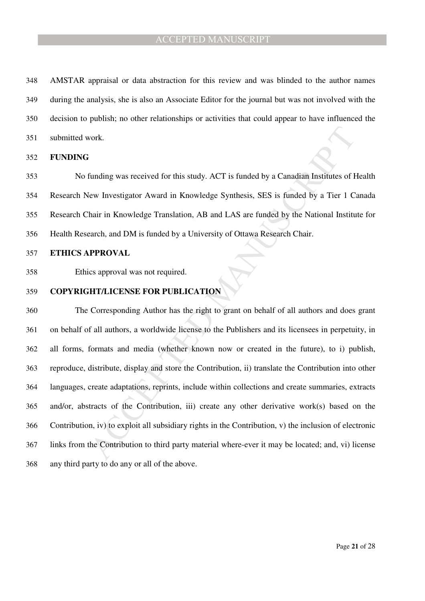AMSTAR appraisal or data abstraction for this review and was blinded to the author names during the analysis, she is also an Associate Editor for the journal but was not involved with the decision to publish; no other relationships or activities that could appear to have influenced the submitted work.

#### **FUNDING**

No funding was received for this study. ACT is funded by a Canadian Institutes of Health Research New Investigator Award in Knowledge Synthesis, SES is funded by a Tier 1 Canada Research Chair in Knowledge Translation, AB and LAS are funded by the National Institute for Health Research, and DM is funded by a University of Ottawa Research Chair.

# **ETHICS APPROVAL**

Ethics approval was not required.

## **COPYRIGHT/LICENSE FOR PUBLICATION**

vork.<br>
Steriannia was received for this study. ACT is funded by a Canadian Institutes of Heatev<br>
Investigator Award in Knowledge Synthesis, SES is funded by a Tier 1 Cana<br>
hair in Knowledge Translation, AB and LAS are fund The Corresponding Author has the right to grant on behalf of all authors and does grant on behalf of all authors, a worldwide license to the Publishers and its licensees in perpetuity, in all forms, formats and media (whether known now or created in the future), to i) publish, reproduce, distribute, display and store the Contribution, ii) translate the Contribution into other languages, create adaptations, reprints, include within collections and create summaries, extracts and/or, abstracts of the Contribution, iii) create any other derivative work(s) based on the Contribution, iv) to exploit all subsidiary rights in the Contribution, v) the inclusion of electronic links from the Contribution to third party material where-ever it may be located; and, vi) license any third party to do any or all of the above.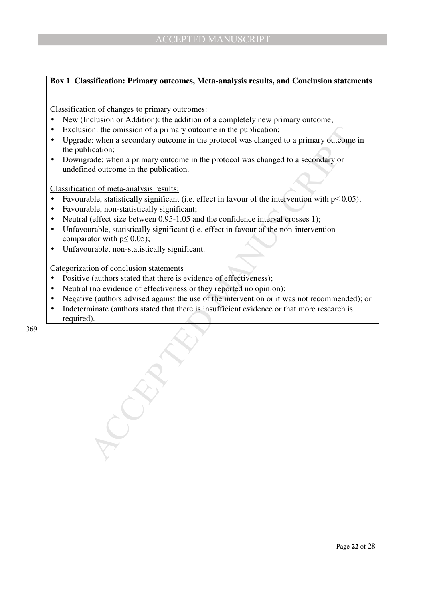# **Box 1 Classification: Primary outcomes, Meta-analysis results, and Conclusion statements**

Classification of changes to primary outcomes:

- New (Inclusion or Addition): the addition of a completely new primary outcome;
- Exclusion: the omission of a primary outcome in the publication;
- on: the omission of a primary outcome in the publication;<br>
c: when a secondary outcome in the protocol was changed to a primary outcome in<br>
cication;<br>
dication;<br>
dication;<br>
dications;<br>
and or meta-amalysis results:<br>
and o • Upgrade: when a secondary outcome in the protocol was changed to a primary outcome in the publication;
- Downgrade: when a primary outcome in the protocol was changed to a secondary or undefined outcome in the publication.

Classification of meta-analysis results:

- Favourable, statistically significant (i.e. effect in favour of the intervention with  $p \le 0.05$ );
- Favourable, non-statistically significant;
- Neutral (effect size between 0.95-1.05 and the confidence interval crosses 1);
- Unfavourable, statistically significant (i.e. effect in favour of the non-intervention comparator with  $p \leq 0.05$ );
- Unfavourable, non-statistically significant.

Categorization of conclusion statements

- Positive (authors stated that there is evidence of effectiveness);
- Neutral (no evidence of effectiveness or they reported no opinion);
- Negative (authors advised against the use of the intervention or it was not recommended); or
- Indeterminate (authors stated that there is insufficient evidence or that more research is required).

369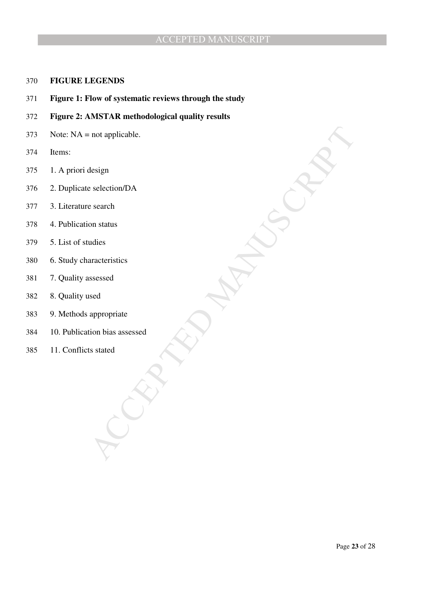# **FIGURE LEGENDS**

- **Figure 1: Flow of systematic reviews through the study**
- **Figure 2: AMSTAR methodological quality results**
- Note: NA = not applicable.
- Items:
- 1. A priori design
- 2. Duplicate selection/DA
- 3. Literature search
- 4. Publication status
- 5. List of studies
- 6. Study characteristics
- 7. Quality assessed
- 8. Quality used
- 9. Methods appropriate
- MANUSCRIPT ACCEPTED 10. Publication bias assessed
- 11. Conflicts stated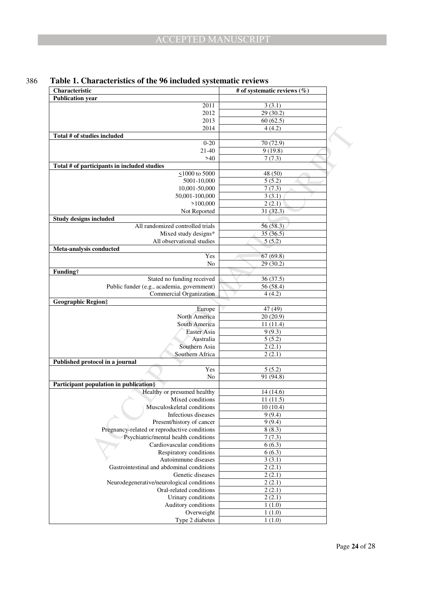| Characteristic                                                       | # of systematic reviews $(\%)$ |
|----------------------------------------------------------------------|--------------------------------|
| <b>Publication year</b>                                              |                                |
| $\overline{2011}$                                                    | 3(3.1)                         |
| 2012                                                                 | 29 (30.2)                      |
| 2013                                                                 | 60(62.5)                       |
| 2014                                                                 | 4(4.2)                         |
| Total # of studies included                                          |                                |
| $0 - 20$                                                             | 70 (72.9)                      |
| 21-40                                                                | 9(19.8)                        |
| >40                                                                  | 7(7.3)                         |
| Total # of participants in included studies                          |                                |
| $\leq$ 1000 to 5000                                                  | 48 (50)                        |
| 5001-10,000                                                          | 5(5.2)                         |
| 10,001-50,000                                                        | 7(7.3)                         |
| 50,001-100,000                                                       | 3(3.1)                         |
| >100,000                                                             | 2(2.1)                         |
| Not Reported                                                         | 31(32.3)                       |
| <b>Study designs included</b>                                        |                                |
| All randomized controlled trials                                     | 56(58.3)                       |
| Mixed study designs*                                                 | 35(36.5)                       |
| All observational studies                                            | 5(5.2)                         |
| Meta-analysis conducted<br>Yes                                       |                                |
| No                                                                   | 67(69.8)<br>29(30.2)           |
| Funding†                                                             |                                |
| Stated no funding received                                           | 36(37.5)                       |
| Public funder (e.g., academia, government)                           | 56(58.4)                       |
| Commercial Organization                                              | 4(4.2)                         |
| <b>Geographic Region</b> #                                           |                                |
| Europe                                                               | 47 (49)                        |
| North America                                                        | 20(20.9)                       |
| South America                                                        | 11(11.4)                       |
| Easter Asia                                                          | 9(9.3)                         |
| Australia                                                            | 5(5.2)                         |
| Southern Asia                                                        | 2(2.1)                         |
| Southern Africa                                                      | 2(2.1)                         |
| Published protocol in a journal                                      |                                |
| Yes                                                                  | 5(5.2)                         |
| No                                                                   | 91 (94.8)                      |
| Participant population in publication§                               |                                |
| Healthy or presumed healthy                                          | 14 (14.6)                      |
| Mixed conditions                                                     | 11(11.5)                       |
| Musculoskeletal conditions                                           | 10(10.4)                       |
| Infectious diseases                                                  | 9(9.4)                         |
| Present/history of cancer                                            | 9(9.4)                         |
| Pregnancy-related or reproductive conditions                         | 8(8.3)                         |
| Psychiatric/mental health conditions                                 | 7(7.3)                         |
| Cardiovascular conditions                                            | 6(6.3)                         |
| Respiratory conditions                                               | 6(6.3)                         |
| Autoimmune diseases                                                  | 3(3.1)                         |
| Gastrointestinal and abdominal conditions                            | 2(2.1)                         |
| Genetic diseases                                                     | 2(2.1)                         |
| Neurodegenerative/neurological conditions<br>Oral-related conditions | 2(2.1)                         |
| Urinary conditions                                                   | 2(2.1)<br>2(2.1)               |
| Auditory conditions                                                  | 1(1.0)                         |
| Overweight                                                           | 1(1.0)                         |
| Type 2 diabetes                                                      | 1(1.0)                         |
|                                                                      |                                |

# 386 **Table 1. Characteristics of the 96 included systematic reviews**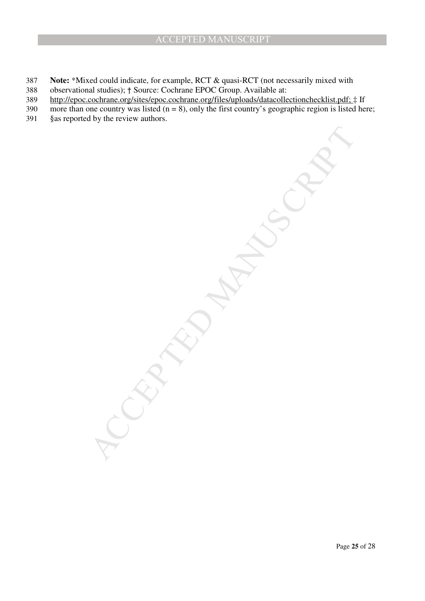- 387 **Note:** \*Mixed could indicate, for example, RCT & quasi-RCT (not necessarily mixed with 388 observational studies); † Source: Cochrane EPOC Group. Available at:
- 389 http://epoc.cochrane.org/sites/epoc.cochrane.org/files/uploads/datacollectionchecklist.pdf; ‡ If
- 390 more than one country was listed  $(n = 8)$ , only the first country's geographic region is listed here;

MCCRIPTION MANUSCRIPT

391 §as reported by the review authors.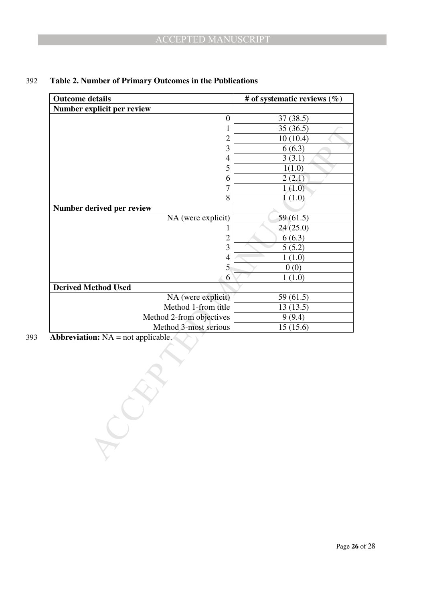| 37(38.5)<br>35(36.5)<br>10(10.4)<br>6(6.3)<br>3(3.1)<br>1(1.0) |
|----------------------------------------------------------------|
|                                                                |
|                                                                |
|                                                                |
|                                                                |
|                                                                |
|                                                                |
|                                                                |
| 2(2.1)                                                         |
| 1(1.0)                                                         |
| 1(1.0)                                                         |
|                                                                |
| 59(61.5)                                                       |
| 24(25.0)                                                       |
| 6(6.3)                                                         |
| 5(5.2)                                                         |
| 1(1.0)                                                         |
| 0(0)                                                           |
| 1(1.0)                                                         |
|                                                                |
| 59 (61.5)                                                      |
| 13(13.5)                                                       |
| 9(9.4)                                                         |
| 15(15.6)                                                       |
|                                                                |
|                                                                |

# 392 **Table 2. Number of Primary Outcomes in the Publications**

393 **Abbreviation:** NA = not applicable.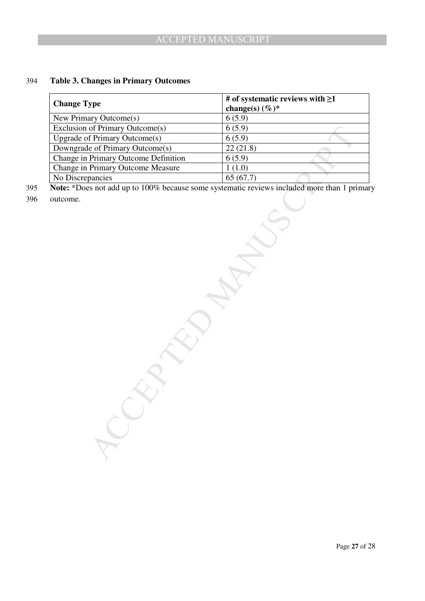# 394 **Table 3. Changes in Primary Outcomes**

| <b>Change Type</b>                                                                                             | # of systematic reviews with $\geq$ 1 |  |
|----------------------------------------------------------------------------------------------------------------|---------------------------------------|--|
|                                                                                                                | change(s) $(\%)^*$                    |  |
| New Primary Outcome(s)                                                                                         | 6(5.9)                                |  |
| Exclusion of Primary Outcome(s)                                                                                | 6(5.9)                                |  |
| <b>Upgrade of Primary Outcome(s)</b><br>Downgrade of Primary Outcome(s)                                        | 6(5.9)                                |  |
|                                                                                                                | 22(21.8)                              |  |
| Change in Primary Outcome Definition                                                                           | 6(5.9)                                |  |
| Change in Primary Outcome Measure                                                                              | 1(1.0)                                |  |
| No Discrepancies<br>Note: *Does not add up to 100% because some systematic reviews included more than 1 primar | 65(67.7)                              |  |
| outcome.                                                                                                       |                                       |  |
|                                                                                                                |                                       |  |

395 **Note:** \*Does not add up to 100% because some systematic reviews included more than 1 primary

396 outcome.

Page **27** of 28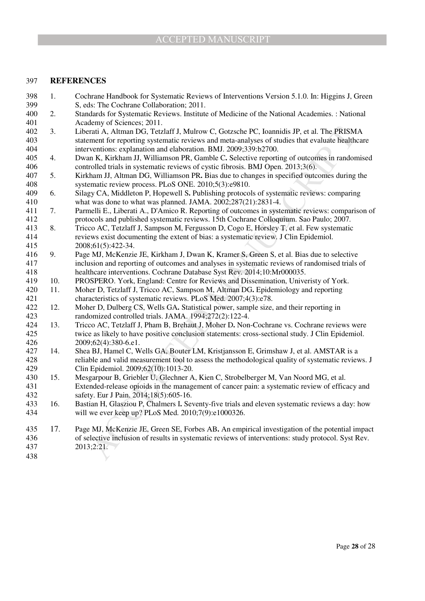## 397 **REFERENCES**

- 398 1. Cochrane Handbook for Systematic Reviews of Interventions Version 5.1.0. In: Higgins J, Green S, eds: The Cochrane Collaboration; 2011. 400 2. Standards for Systematic Reviews. Institute of Medicine of the National Academies. : National 401 Academy of Sciences; 2011.
- 402 3. Liberati A, Altman DG, Tetzlaff J, Mulrow C, Gotzsche PC, Ioannidis JP, et al. The PRISMA 403 statement for reporting systematic reviews and meta-analyses of studies that evaluate healthcare 404 interventions: explanation and elaboration. BMJ. 2009;339:b2700.
- 405 4. Dwan K, Kirkham JJ, Williamson PR, Gamble C**.** Selective reporting of outcomes in randomised 406 controlled trials in systematic reviews of cystic fibrosis. BMJ Open. 2013;3(6).
- 407 5. Kirkham JJ, Altman DG, Williamson PR**.** Bias due to changes in specified outcomes during the 408 systematic review process. PLoS ONE. 2010;5(3):e9810.
- 409 6. Silagy CA, Middleton P, Hopewell S**.** Publishing protocols of systematic reviews: comparing 410 what was done to what was planned. JAMA. 2002;287(21):2831-4.
- 411 7. Parmelli E., Liberati A., D'Amico R. Reporting of outcomes in systematic reviews: comparison of 412 protocols and published systematic reviews. 15th Cochrane Colloquium. Sao Paulo; 2007.
- 413 8. Tricco AC, Tetzlaff J, Sampson M, Fergusson D, Cogo E, Horsley T, et al. Few systematic 414 reviews exist documenting the extent of bias: a systematic review. J Clin Epidemiol. 415 2008;61(5):422-34.
- 416 9. Page MJ, McKenzie JE, Kirkham J, Dwan K, Kramer S, Green S, et al. Bias due to selective 417 inclusion and reporting of outcomes and analyses in systematic reviews of randomised trials of 418 healthcare interventions. Cochrane Database Syst Rev. 2014;10:Mr000035.
- 419 10. PROSPERO. York, England: Centre for Reviews and Dissemination, Univeristy of York.
- 420 11. Moher D, Tetzlaff J, Tricco AC, Sampson M, Altman DG**.** Epidemiology and reporting 421 characteristics of systematic reviews. PLoS Med. 2007;4(3):e78.
- 422 12. Moher D, Dulberg CS, Wells GA. Statistical power, sample size, and their reporting in randomized controlled trials. JAMA. 1994;272(2):122-4. randomized controlled trials. JAMA. 1994;272(2):122-4.
- 424 13. Tricco AC, Tetzlaff J, Pham B, Brehaut J, Moher D**.** Non-Cochrane vs. Cochrane reviews were twice as likely to have positive conclusion statements: cross-sectional study. J Clin Epidemiol. 426 2009;62(4):380-6.e1.
- 427 14. Shea BJ, Hamel C, Wells GA, Bouter LM, Kristjansson E, Grimshaw J, et al. AMSTAR is a 428 reliable and valid measurement tool to assess the methodological quality of systematic reviews. J 429 Clin Epidemiol. 2009;62(10):1013-20.
- 430 15. Mesgarpour B, Griebler U, Glechner A, Kien C, Strobelberger M, Van Noord MG, et al. 431 Extended-release opioids in the management of cancer pain: a systematic review of efficacy and 432 safety. Eur J Pain. 2014;18(5):605-16.
- 433 16. Bastian H, Glasziou P, Chalmers I**.** Seventy-five trials and eleven systematic reviews a day: how 434 will we ever keep up? PLoS Med. 2010;7(9):e1000326.
- Frati À, Alman DG, Terdaff J, Mulrow C, Gotzsche PC, Ioannidis JP, et al. The PRISMA<br>ment for reporting systematic reviews and meta analyses of studies that exalute healthcan<br>ment for reporting systematic reviews and meta 435 17. Page MJ, McKenzie JE, Green SE, Forbes AB**.** An empirical investigation of the potential impact 436 of selective inclusion of results in systematic reviews of interventions: study protocol. Syst Rev. 437 2013;2:21.
- 438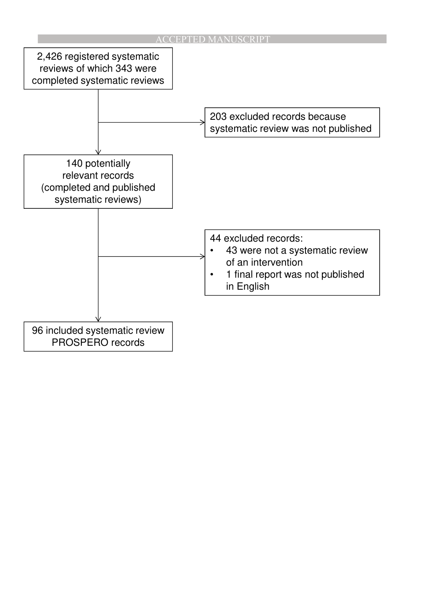